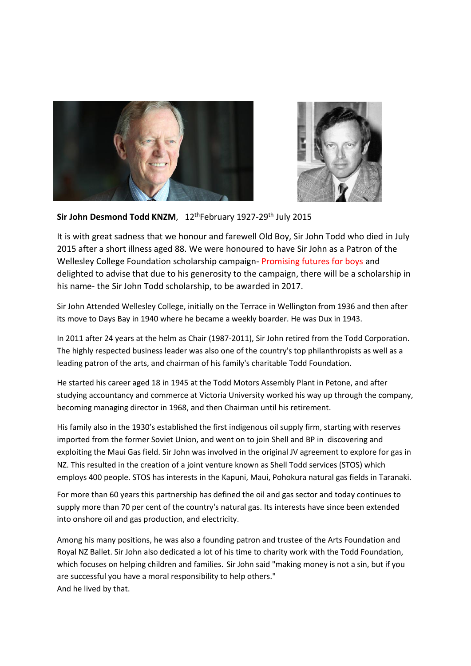



## **Sir John Desmond Todd KNZM**, 12thFebruary 1927-29th July 2015

It is with great sadness that we honour and farewell Old Boy, Sir John Todd who died in July 2015 after a short illness aged 88. We were honoured to have Sir John as a Patron of the Wellesley College Foundation scholarship campaign- Promising futures for boys and delighted to advise that due to his generosity to the campaign, there will be a scholarship in his name- the Sir John Todd scholarship, to be awarded in 2017.

Sir John Attended Wellesley College, initially on the Terrace in Wellington from 1936 and then after its move to Days Bay in 1940 where he became a weekly boarder. He was Dux in 1943.

In 2011 after 24 years at the helm as Chair (1987-2011), Sir John retired from the Todd Corporation. The highly respected business leader was also one of the country's top philanthropists as well as a leading patron of the arts, and chairman of his family's charitable Todd Foundation.

He started his career aged 18 in 1945 at the Todd Motors Assembly Plant in Petone, and after studying accountancy and commerce at Victoria University worked his way up through the company, becoming managing director in 1968, and then Chairman until his retirement.

His family also in the 1930's established the first indigenous oil supply firm, starting with reserves imported from the former Soviet Union, and went on to join Shell and BP in discovering and exploiting the Maui Gas field. Sir John was involved in the original JV agreement to explore for gas in NZ. This resulted in the creation of a joint venture known as Shell Todd services (STOS) which employs 400 people. STOS has interests in the Kapuni, Maui, Pohokura natural gas fields in Taranaki.

For more than 60 years this partnership has defined the oil and gas sector and today continues to supply more than 70 per cent of the country's natural gas. Its interests have since been extended into onshore oil and gas production, and electricity.

Among his many positions, he was also a founding patron and trustee of the Arts Foundation and Royal NZ Ballet. Sir John also dedicated a lot of his time to charity work with the Todd Foundation, which focuses on helping children and families. Sir John said "making money is not a sin, but if you are successful you have a moral responsibility to help others." And he lived by that.